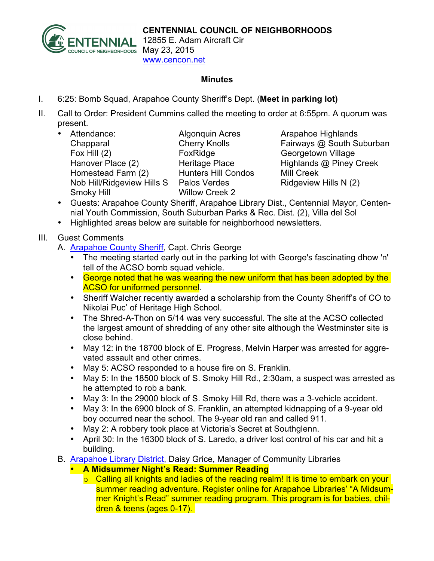

12855 E. Adam Aircraft Cir www.cencon.net

## **Minutes**

- I. 6:25: Bomb Squad, Arapahoe County Sheriff's Dept. (**Meet in parking lot)**
- II. Call to Order: President Cummins called the meeting to order at 6:55pm. A quorum was present.
	- Attendance: Algonquin Acres Arapahoe Highlands Chapparal Cherry Knolls Fairways @ South Suburban Fox Hill (2) **FoxRidge** Georgetown Village Hanover Place (2) Heritage Place Highlands @ Piney Creek Homestead Farm (2) Hunters Hill Condos Mill Creek Nob Hill/Ridgeview Hills S Palos Verdes Ridgeview Hills N (2) Smoky Hill Willow Creek 2

- Guests: Arapahoe County Sheriff, Arapahoe Library Dist., Centennial Mayor, Centennial Youth Commission, South Suburban Parks & Rec. Dist. (2), Villa del Sol
- Highlighted areas below are suitable for neighborhood newsletters.

## III. Guest Comments

- A. [Arapahoe](http://www.arapahoesheriff.org) County Sheriff, Capt. Chris George
	- The meeting started early out in the parking lot with George's fascinating dhow 'n' tell of the ACSO bomb squad vehicle.
	- George noted that he was wearing the new uniform that has been adopted by the ACSO for uniformed personnel.
	- Sheriff Walcher recently awarded a scholarship from the County Sheriff's of CO to Nikolai Puc' of Heritage High School.
	- The Shred-A-Thon on 5/14 was very successful. The site at the ACSO collected the largest amount of shredding of any other site although the Westminster site is close behind.
	- May 12: in the 18700 block of E. Progress, Melvin Harper was arrested for aggrevated assault and other crimes.
	- May 5: ACSO responded to a house fire on S. Franklin.
	- May 5: In the 18500 block of S. Smoky Hill Rd., 2:30am, a suspect was arrested as he attempted to rob a bank.
	- May 3: In the 29000 block of S. Smoky Hill Rd, there was a 3-vehicle accident.
	- May 3: In the 6900 block of S. Franklin, an attempted kidnapping of a 9-year old boy occurred near the school. The 9-year old ran and called 911.
	- May 2: A robbery took place at Victoria's Secret at Southglenn.
	- April 30: In the 16300 block of S. Laredo, a driver lost control of his car and hit a building.
- B. [Arapahoe](http://www.arapahoelibraries.org/) Library District, Daisy Grice, Manager of Community Libraries
	- **A Midsummer Night's Read: Summer Reading**
		- $\circ$  Calling all knights and ladies of the reading realm! It is time to embark on your summer reading adventure. Register online for Arapahoe Libraries' "A Midsummer Knight's Read" summer reading program. This program is for babies, children & teens (ages 0-17).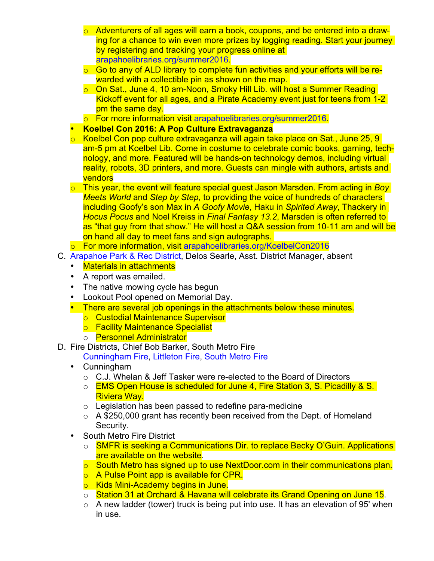- $\circ$  Adventurers of all ages will earn a book, coupons, and be entered into a drawing for a chance to win even more prizes by logging reading. Start your journey by registering and tracking your progress online at [arapahoelibraries.org/summer2016.](http://www.arapahoelibraries.org/summer2016)
- $\circ$  Go to any of ALD library to complete fun activities and your efforts will be rewarded with a collectible pin as shown on the map.
- o On Sat., June 4, 10 am-Noon, Smoky Hill Lib. will host a Summer Reading Kickoff event for all ages, and a Pirate Academy event just for teens from 1-2 pm the same day.
- o For more information visit [arapahoelibraries.org/summer2016.](http://www.arapahoelibraries.org/summer2016)
- **Koelbel Con 2016: A Pop Culture Extravaganza**
- o Koelbel Con pop culture extravaganza will again take place on Sat., June 25, 9 am-5 pm at Koelbel Lib. Come in costume to celebrate comic books, gaming, technology, and more. Featured will be hands-on technology demos, including virtual reality, robots, 3D printers, and more. Guests can mingle with authors, artists and vendors
- o This year, the event will feature special guest Jason Marsden. From acting in *Boy Meets World* and *Step by Step*, to providing the voice of hundreds of characters including Goofy's son Max in *A Goofy Movie*, Haku in *Spirited Away*, Thackery in *Hocus Pocus* and Noel Kreiss in *Final Fantasy 13.2*, Marsden is often referred to as "that guy from that show." He will host a Q&A session from 10-11 am and will be on hand all day to meet fans and sign autographs.
- For more information, visit [arapahoelibraries.org/KoelbelCon2016](http://www.arapahoelibraries.org/KoelbelCon2016)
- C. Arapahoe [Park & Rec](http://www.aprd.org) District, Delos Searle, Asst. District Manager, absent
	- Materials in attachments
	- A report was emailed.
	- The native mowing cycle has begun
	- Lookout Pool opened on Memorial Day.
	- There are several job openings in the attachments below these minutes.
		- o Custodial Maintenance Supervisor
		- o Facility Maintenance Specialist
		- o **Personnel Administrator**
- D. Fire Districts, Chief Bob Barker, South Metro Fire

[Cunningham](http://www.cfpd.org) Fire, [Littleton](http://www.littletongov.org/fire) Fire, [South](http://www.southmetro.org) Metro Fire

- Cunningham
	- o C.J. Whelan & Jeff Tasker were re-elected to the Board of Directors
	- o **EMS Open House is scheduled for June 4, Fire Station 3, S. Picadilly & S.** Riviera Way.
	- $\circ$  Legislation has been passed to redefine para-medicine
	- $\circ$  A \$250,000 grant has recently been received from the Dept. of Homeland Security.
- South Metro Fire District
	- o **SMFR is seeking a Communications Dir. to replace Becky O'Guin. Applications** are available on the website.
	- o South Metro has signed up to use NextDoor.com in their communications plan.
	- **O** A Pulse Point app is available for CPR.
	- o Kids Mini-Academy begins in June.
	- o Station 31 at Orchard & Havana will celebrate its Grand Opening on June 15.
	- $\circ$  A new ladder (tower) truck is being put into use. It has an elevation of 95' when in use.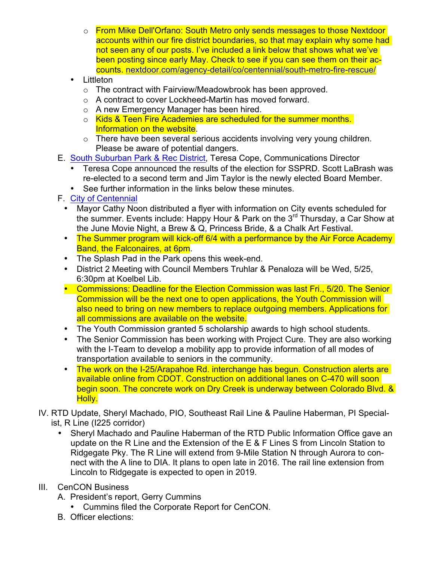- o From Mike Dell'Orfano: South Metro only sends messages to those Nextdoor accounts within our fire district boundaries, so that may explain why some had not seen any of our posts. I've included a link below that shows what we've been posting since early May. Check to see if you can see them on their accounts. [nextdoor.com/agency-detail/co/centennial/south-metro-fire-rescue/](https://nextdoor.com/agency-detail/co/centennial/south-metro-fire-rescue/)
- Littleton
	- o The contract with Fairview/Meadowbrook has been approved.
	- o A contract to cover Lockheed-Martin has moved forward.
	- o A new Emergency Manager has been hired.
	- o Kids & Teen Fire Academies are scheduled for the summer months. Information on the website.
	- o There have been several serious accidents involving very young children. Please be aware of potential dangers.
- E. South Suburban [Park & Rec](http://www.SSPR.org) District, Teresa Cope, Communications Director
	- Teresa Cope announced the results of the election for SSPRD. Scott LaBrash was re-elected to a second term and Jim Taylor is the newly elected Board Member.
	- See further information in the links below these minutes.
- F. City of [Centennial](http://www.centennialco.gov)
	- Mayor Cathy Noon distributed a flyer with information on City events scheduled for the summer. Events include: Happy Hour & Park on the  $3<sup>rd</sup>$  Thursday, a Car Show at the June Movie Night, a Brew & Q, Princess Bride, & a Chalk Art Festival.
	- The Summer program will kick-off 6/4 with a performance by the Air Force Academy Band, the Falconaires, at 6pm.
	- The Splash Pad in the Park opens this week-end.
	- District 2 Meeting with Council Members Truhlar & Penaloza will be Wed, 5/25, 6:30pm at Koelbel Lib.
	- Commissions: Deadline for the Election Commission was last Fri., 5/20, The Senior Commission will be the next one to open applications, the Youth Commission will also need to bring on new members to replace outgoing members. Applications for all commissions are available on the website.
	- The Youth Commission granted 5 scholarship awards to high school students.
	- The Senior Commission has been working with Project Cure. They are also working with the I-Team to develop a mobility app to provide information of all modes of transportation available to seniors in the community.
	- The work on the I-25/Arapahoe Rd. interchange has begun. Construction alerts are available online from CDOT. Construction on additional lanes on C-470 will soon begin soon. The concrete work on Dry Creek is underway between Colorado Blvd. & Holly.
- IV. RTD Update, Sheryl Machado, PIO, Southeast Rail Line & Pauline Haberman, PI Specialist, R Line (I225 corridor)
	- Sheryl Machado and Pauline Haberman of the RTD Public Information Office gave an update on the R Line and the Extension of the E & F Lines S from Lincoln Station to Ridgegate Pky. The R Line will extend from 9-Mile Station N through Aurora to connect with the A line to DIA. It plans to open late in 2016. The rail line extension from Lincoln to Ridgegate is expected to open in 2019.
- III. CenCON Business
	- A. President's report, Gerry Cummins
		- Cummins filed the Corporate Report for CenCON.
	- B. Officer elections: